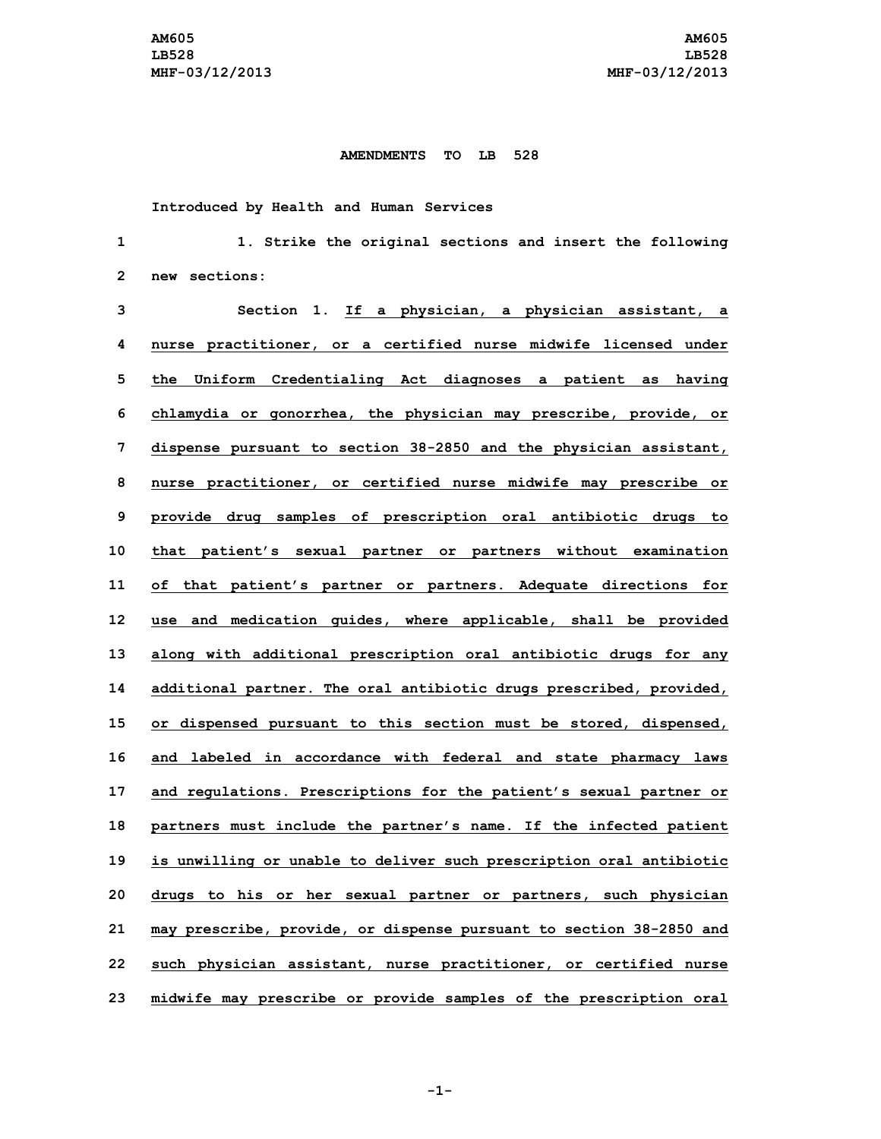## **AMENDMENTS TO LB 528**

**Introduced by Health and Human Services**

 **1. Strike the original sections and insert the following new sections: Section 1. If <sup>a</sup> physician, <sup>a</sup> physician assistant, <sup>a</sup> nurse practitioner, or <sup>a</sup> certified nurse midwife licensed under the Uniform Credentialing Act diagnoses <sup>a</sup> patient as having chlamydia or gonorrhea, the physician may prescribe, provide, or dispense pursuant to section 38-2850 and the physician assistant, nurse practitioner, or certified nurse midwife may prescribe or provide drug samples of prescription oral antibiotic drugs to that patient's sexual partner or partners without examination of that patient's partner or partners. Adequate directions for use and medication guides, where applicable, shall be provided along with additional prescription oral antibiotic drugs for any additional partner. The oral antibiotic drugs prescribed, provided, or dispensed pursuant to this section must be stored, dispensed, and labeled in accordance with federal and state pharmacy laws and regulations. Prescriptions for the patient's sexual partner or partners must include the partner's name. If the infected patient is unwilling or unable to deliver such prescription oral antibiotic drugs to his or her sexual partner or partners, such physician may prescribe, provide, or dispense pursuant to section 38-2850 and such physician assistant, nurse practitioner, or certified nurse midwife may prescribe or provide samples of the prescription oral**

**-1-**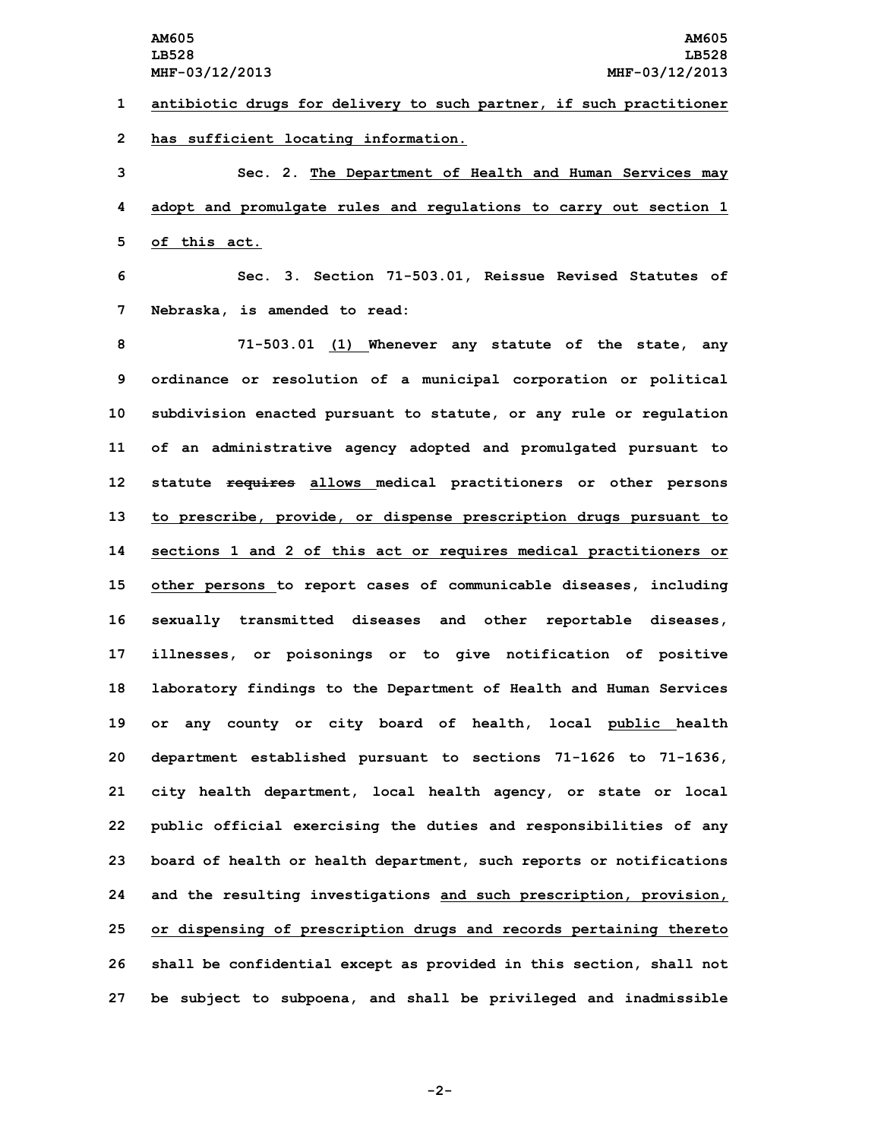**1 antibiotic drugs for delivery to such partner, if such practitioner 2 has sufficient locating information.**

**3 Sec. 2. The Department of Health and Human Services may 4 adopt and promulgate rules and regulations to carry out section 1 5 of this act.**

**6 Sec. 3. Section 71-503.01, Reissue Revised Statutes of 7 Nebraska, is amended to read:**

 **71-503.01 (1) Whenever any statute of the state, any ordinance or resolution of <sup>a</sup> municipal corporation or political subdivision enacted pursuant to statute, or any rule or regulation of an administrative agency adopted and promulgated pursuant to statute requires allows medical practitioners or other persons to prescribe, provide, or dispense prescription drugs pursuant to sections 1 and 2 of this act or requires medical practitioners or other persons to report cases of communicable diseases, including sexually transmitted diseases and other reportable diseases, illnesses, or poisonings or to give notification of positive laboratory findings to the Department of Health and Human Services or any county or city board of health, local public health department established pursuant to sections 71-1626 to 71-1636, city health department, local health agency, or state or local public official exercising the duties and responsibilities of any board of health or health department, such reports or notifications and the resulting investigations and such prescription, provision, or dispensing of prescription drugs and records pertaining thereto shall be confidential except as provided in this section, shall not be subject to subpoena, and shall be privileged and inadmissible**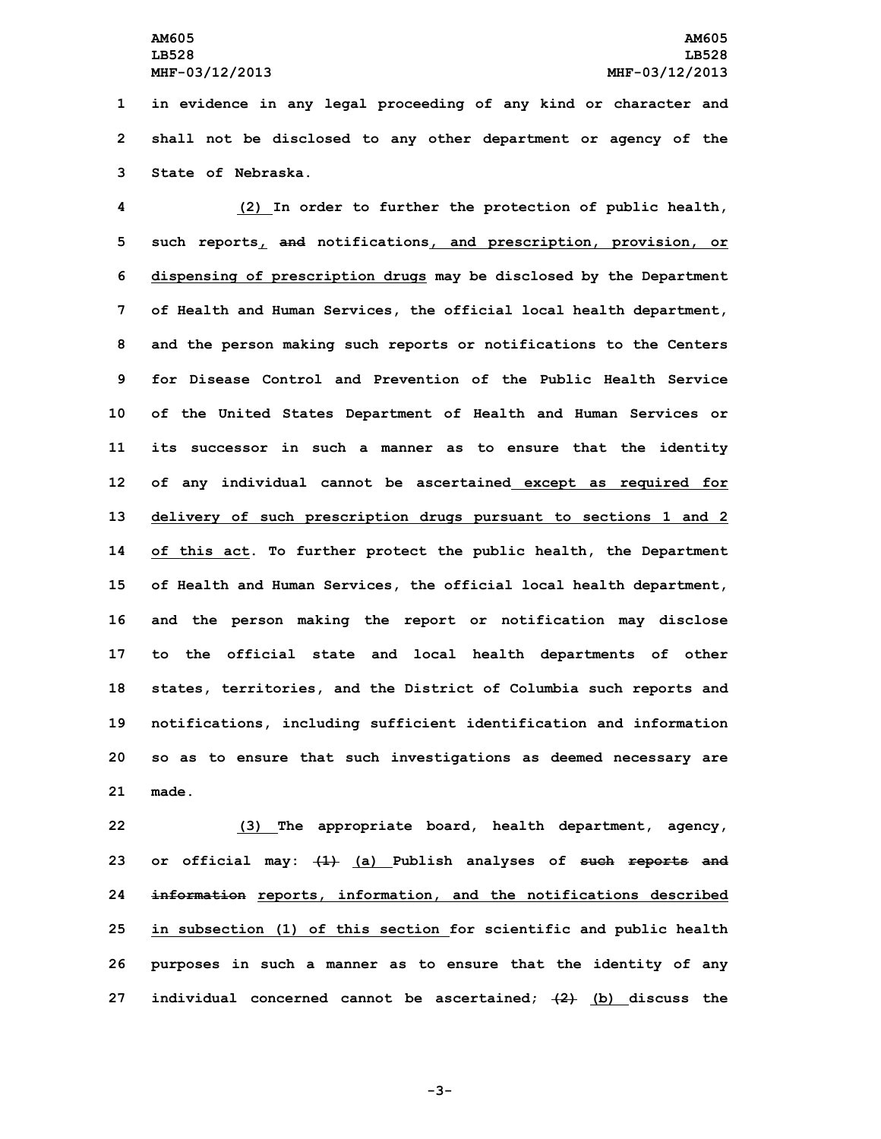**1 in evidence in any legal proceeding of any kind or character and 2 shall not be disclosed to any other department or agency of the 3 State of Nebraska.**

 **(2) In order to further the protection of public health, such reports, and notifications, and prescription, provision, or dispensing of prescription drugs may be disclosed by the Department of Health and Human Services, the official local health department, and the person making such reports or notifications to the Centers for Disease Control and Prevention of the Public Health Service of the United States Department of Health and Human Services or its successor in such <sup>a</sup> manner as to ensure that the identity of any individual cannot be ascertained except as required for delivery of such prescription drugs pursuant to sections 1 and 2 of this act. To further protect the public health, the Department of Health and Human Services, the official local health department, and the person making the report or notification may disclose to the official state and local health departments of other states, territories, and the District of Columbia such reports and notifications, including sufficient identification and information so as to ensure that such investigations as deemed necessary are 21 made.**

 **(3) The appropriate board, health department, agency, or official may: (1) (a) Publish analyses of such reports and information reports, information, and the notifications described in subsection (1) of this section for scientific and public health purposes in such <sup>a</sup> manner as to ensure that the identity of any individual concerned cannot be ascertained; (2) (b) discuss the**

**-3-**